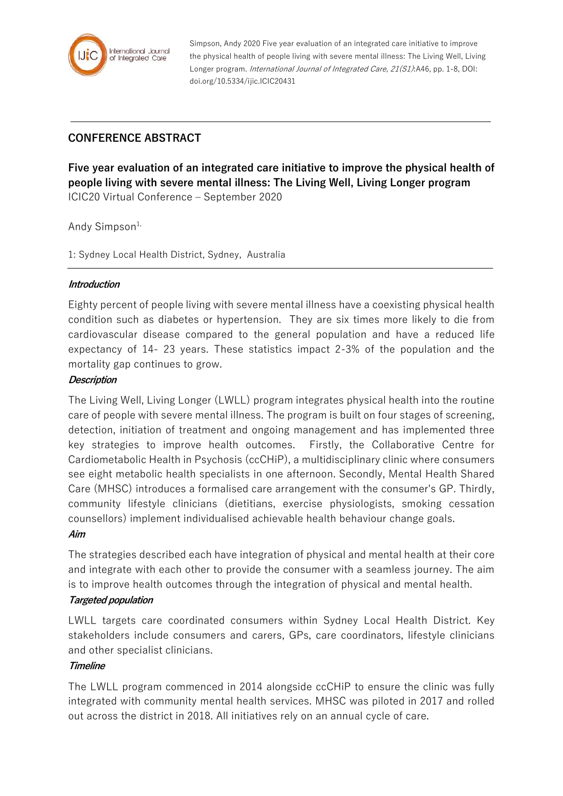

Simpson, Andy 2020 Five year evaluation of an integrated care initiative to improve the physical health of people living with severe mental illness: The Living Well, Living Longer program. International Journal of Integrated Care, 21(S1):A46, pp. 1-8, DOI: doi.org/10.5334/ijic.ICIC20431

# **CONFERENCE ABSTRACT**

**Five year evaluation of an integrated care initiative to improve the physical health of people living with severe mental illness: The Living Well, Living Longer program** ICIC20 Virtual Conference – September 2020

Andy Simpson $1$ ,

1: Sydney Local Health District, Sydney, Australia

#### **Introduction**

Eighty percent of people living with severe mental illness have a coexisting physical health condition such as diabetes or hypertension. They are six times more likely to die from cardiovascular disease compared to the general population and have a reduced life expectancy of 14- 23 years. These statistics impact 2-3% of the population and the mortality gap continues to grow.

#### **Description**

The Living Well, Living Longer (LWLL) program integrates physical health into the routine care of people with severe mental illness. The program is built on four stages of screening, detection, initiation of treatment and ongoing management and has implemented three key strategies to improve health outcomes. Firstly, the Collaborative Centre for Cardiometabolic Health in Psychosis (ccCHiP), a multidisciplinary clinic where consumers see eight metabolic health specialists in one afternoon. Secondly, Mental Health Shared Care (MHSC) introduces a formalised care arrangement with the consumer's GP. Thirdly, community lifestyle clinicians (dietitians, exercise physiologists, smoking cessation counsellors) implement individualised achievable health behaviour change goals.

#### **Aim**

The strategies described each have integration of physical and mental health at their core and integrate with each other to provide the consumer with a seamless journey. The aim is to improve health outcomes through the integration of physical and mental health.

# **Targeted population**

LWLL targets care coordinated consumers within Sydney Local Health District. Key stakeholders include consumers and carers, GPs, care coordinators, lifestyle clinicians and other specialist clinicians.

# **Timeline**

The LWLL program commenced in 2014 alongside ccCHiP to ensure the clinic was fully integrated with community mental health services. MHSC was piloted in 2017 and rolled out across the district in 2018. All initiatives rely on an annual cycle of care.